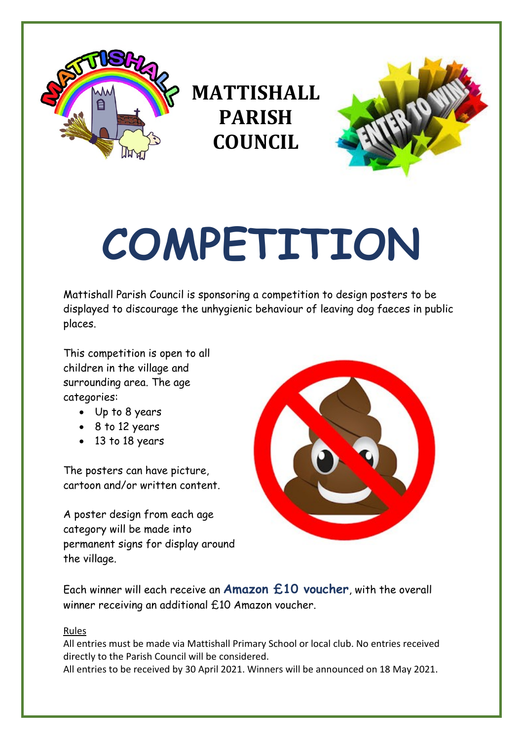

**MATTISHALL PARISH COUNCIL**



# **COMPETITION**

Mattishall Parish Council is sponsoring a competition to design posters to be displayed to discourage the unhygienic behaviour of leaving dog faeces in public places.

This competition is open to all children in the village and surrounding area. The age categories:

- Up to 8 years
- 8 to 12 years
- 13 to 18 years

The posters can have picture, cartoon and/or written content.

A poster design from each age category will be made into permanent signs for display around the village.



Each winner will each receive an **Amazon £10 voucher**, with the overall winner receiving an additional £10 Amazon voucher.

## Rules

All entries must be made via Mattishall Primary School or local club. No entries received directly to the Parish Council will be considered.

All entries to be received by 30 April 2021. Winners will be announced on 18 May 2021.